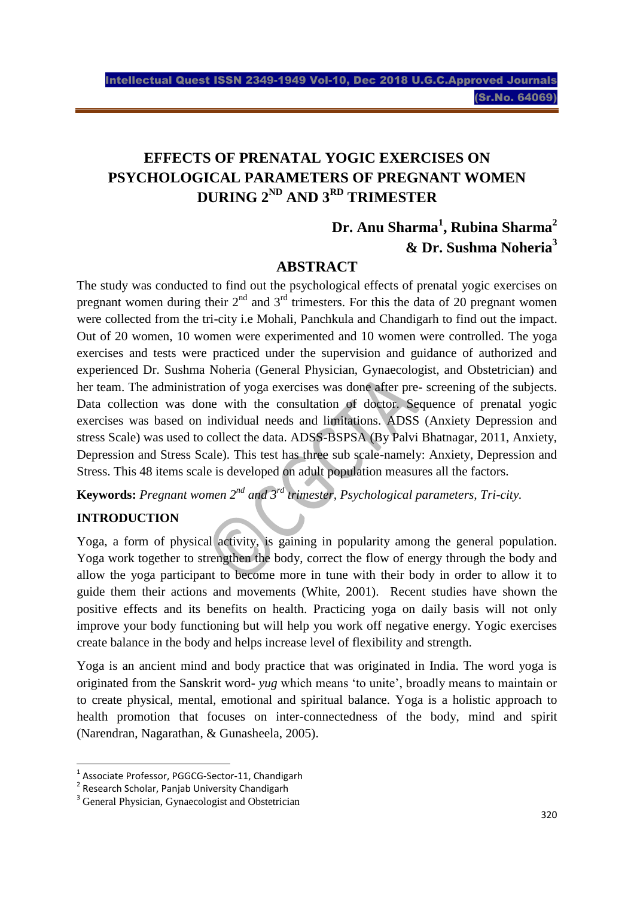# **EFFECTS OF PRENATAL YOGIC EXERCISES ON PSYCHOLOGICAL PARAMETERS OF PREGNANT WOMEN DURING 2ND AND 3RD TRIMESTER**

# **Dr. Anu Sharma<sup>1</sup> , Rubina Sharma<sup>2</sup> & Dr. Sushma Noheria<sup>3</sup>**

### **ABSTRACT**

The study was conducted to find out the psychological effects of prenatal yogic exercises on pregnant women during their  $2^{nd}$  and  $3^{rd}$  trimesters. For this the data of 20 pregnant women were collected from the tri-city i.e Mohali, Panchkula and Chandigarh to find out the impact. Out of 20 women, 10 women were experimented and 10 women were controlled. The yoga exercises and tests were practiced under the supervision and guidance of authorized and experienced Dr. Sushma Noheria (General Physician, Gynaecologist, and Obstetrician) and her team. The administration of yoga exercises was done after pre- screening of the subjects. Data collection was done with the consultation of doctor. Sequence of prenatal yogic exercises was based on individual needs and limitations. ADSS (Anxiety Depression and stress Scale) was used to collect the data. ADSS-BSPSA (By Palvi Bhatnagar, 2011, Anxiety, Depression and Stress Scale). This test has three sub scale-namely: Anxiety, Depression and Stress. This 48 items scale is developed on adult population measures all the factors.

**Keywords:** *Pregnant women 2nd and 3rd trimester, Psychological parameters, Tri-city.*

### **INTRODUCTION**

 $\overline{a}$ 

Yoga, a form of physical activity, is gaining in popularity among the general population. Yoga work together to strengthen the body, correct the flow of energy through the body and allow the yoga participant to become more in tune with their body in order to allow it to guide them their actions and movements (White, 2001). Recent studies have shown the positive effects and its benefits on health. Practicing yoga on daily basis will not only improve your body functioning but will help you work off negative energy. Yogic exercises create balance in the body and helps increase level of flexibility and strength.

Yoga is an ancient mind and body practice that was originated in India. The word yoga is originated from the Sanskrit word- *yug* which means 'to unite', broadly means to maintain or to create physical, mental, emotional and spiritual balance. Yoga is a holistic approach to health promotion that focuses on inter-connectedness of the body, mind and spirit (Narendran, Nagarathan, & Gunasheela, 2005).

<sup>1</sup> Associate Professor, PGGCG-Sector-11, Chandigarh

<sup>&</sup>lt;sup>2</sup> Research Scholar, Panjab University Chandigarh

<sup>&</sup>lt;sup>3</sup> General Physician, Gynaecologist and Obstetrician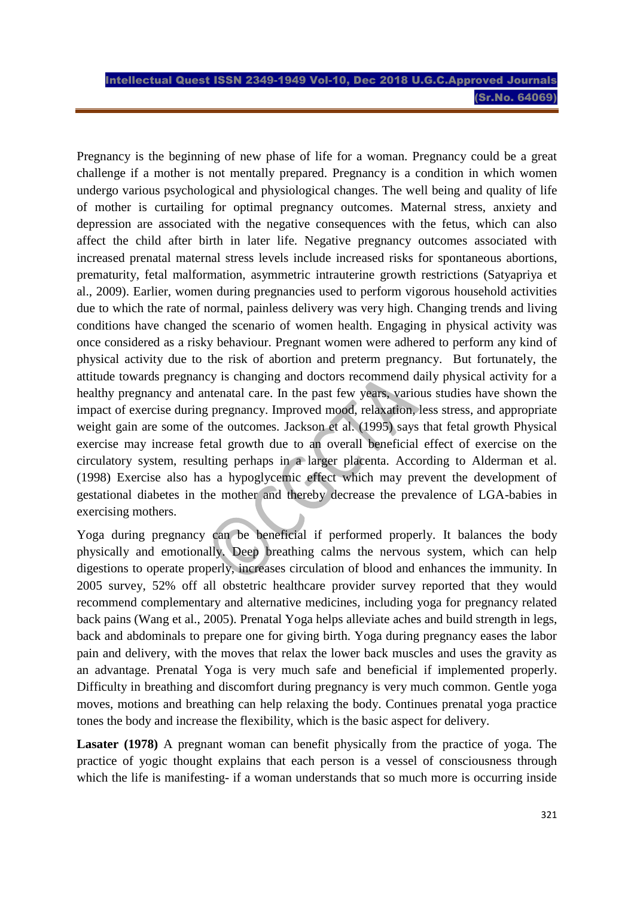Pregnancy is the beginning of new phase of life for a woman. Pregnancy could be a great challenge if a mother is not mentally prepared. Pregnancy is a condition in which women undergo various psychological and physiological changes. The well being and quality of life of mother is curtailing for optimal pregnancy outcomes. Maternal stress, anxiety and depression are associated with the negative consequences with the fetus, which can also affect the child after birth in later life. Negative pregnancy outcomes associated with increased prenatal maternal stress levels include increased risks for spontaneous abortions, prematurity, fetal malformation, asymmetric intrauterine growth restrictions (Satyapriya et al., 2009). Earlier, women during pregnancies used to perform vigorous household activities due to which the rate of normal, painless delivery was very high. Changing trends and living conditions have changed the scenario of women health. Engaging in physical activity was once considered as a risky behaviour. Pregnant women were adhered to perform any kind of physical activity due to the risk of abortion and preterm pregnancy. But fortunately, the attitude towards pregnancy is changing and doctors recommend daily physical activity for a healthy pregnancy and antenatal care. In the past few years, various studies have shown the impact of exercise during pregnancy. Improved mood, relaxation, less stress, and appropriate weight gain are some of the outcomes. Jackson et al. (1995) says that fetal growth Physical exercise may increase fetal growth due to an overall beneficial effect of exercise on the circulatory system, resulting perhaps in a larger placenta. According to Alderman et al. (1998) Exercise also has a hypoglycemic effect which may prevent the development of gestational diabetes in the mother and thereby decrease the prevalence of LGA-babies in exercising mothers.

Yoga during pregnancy can be beneficial if performed properly. It balances the body physically and emotionally. Deep breathing calms the nervous system, which can help digestions to operate properly, increases circulation of blood and enhances the immunity. In 2005 survey, 52% off all obstetric healthcare provider survey reported that they would recommend complementary and alternative medicines, including yoga for pregnancy related back pains (Wang et al., 2005). Prenatal Yoga helps alleviate aches and build strength in legs, back and abdominals to prepare one for giving birth. Yoga during pregnancy eases the labor pain and delivery, with the moves that relax the lower back muscles and uses the gravity as an advantage. Prenatal Yoga is very much safe and beneficial if implemented properly. Difficulty in breathing and discomfort during pregnancy is very much common. Gentle yoga moves, motions and breathing can help relaxing the body. Continues prenatal yoga practice tones the body and increase the flexibility, which is the basic aspect for delivery.

**Lasater (1978)** A pregnant woman can benefit physically from the practice of yoga. The practice of yogic thought explains that each person is a vessel of consciousness through which the life is manifesting- if a woman understands that so much more is occurring inside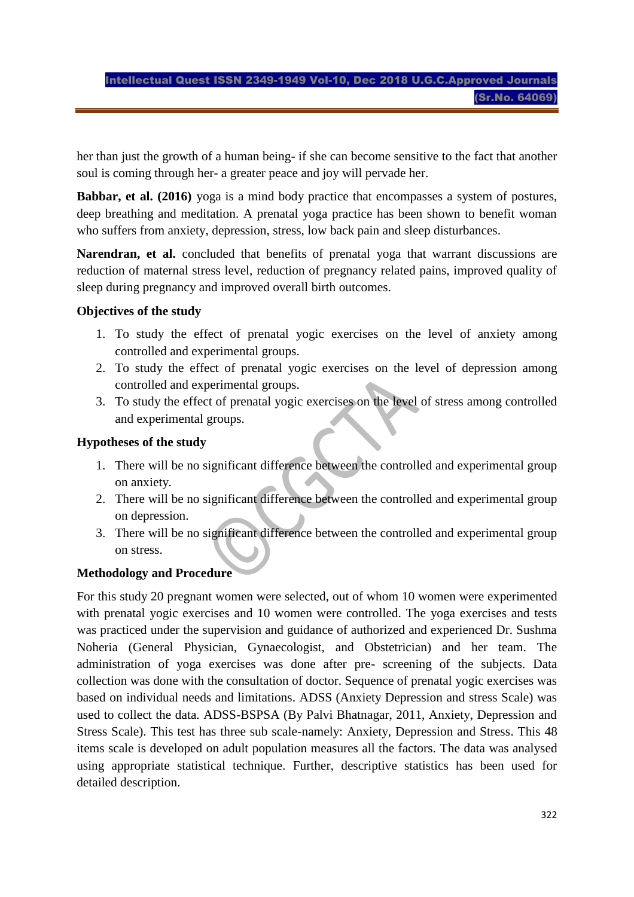her than just the growth of a human being- if she can become sensitive to the fact that another soul is coming through her- a greater peace and joy will pervade her.

**Babbar, et al. (2016)** yoga is a mind body practice that encompasses a system of postures, deep breathing and meditation. A prenatal yoga practice has been shown to benefit woman who suffers from anxiety, depression, stress, low back pain and sleep disturbances.

**Narendran, et al.** concluded that benefits of prenatal yoga that warrant discussions are reduction of maternal stress level, reduction of pregnancy related pains, improved quality of sleep during pregnancy and improved overall birth outcomes.

#### **Objectives of the study**

- 1. To study the effect of prenatal yogic exercises on the level of anxiety among controlled and experimental groups.
- 2. To study the effect of prenatal yogic exercises on the level of depression among controlled and experimental groups.
- 3. To study the effect of prenatal yogic exercises on the level of stress among controlled and experimental groups.

#### **Hypotheses of the study**

- 1. There will be no significant difference between the controlled and experimental group on anxiety.
- 2. There will be no significant difference between the controlled and experimental group on depression.
- 3. There will be no significant difference between the controlled and experimental group on stress.

#### **Methodology and Procedure**

For this study 20 pregnant women were selected, out of whom 10 women were experimented with prenatal yogic exercises and 10 women were controlled. The yoga exercises and tests was practiced under the supervision and guidance of authorized and experienced Dr. Sushma Noheria (General Physician, Gynaecologist, and Obstetrician) and her team. The administration of yoga exercises was done after pre- screening of the subjects. Data collection was done with the consultation of doctor. Sequence of prenatal yogic exercises was based on individual needs and limitations. ADSS (Anxiety Depression and stress Scale) was used to collect the data. ADSS-BSPSA (By Palvi Bhatnagar, 2011, Anxiety, Depression and Stress Scale). This test has three sub scale-namely: Anxiety, Depression and Stress. This 48 items scale is developed on adult population measures all the factors. The data was analysed using appropriate statistical technique. Further, descriptive statistics has been used for detailed description.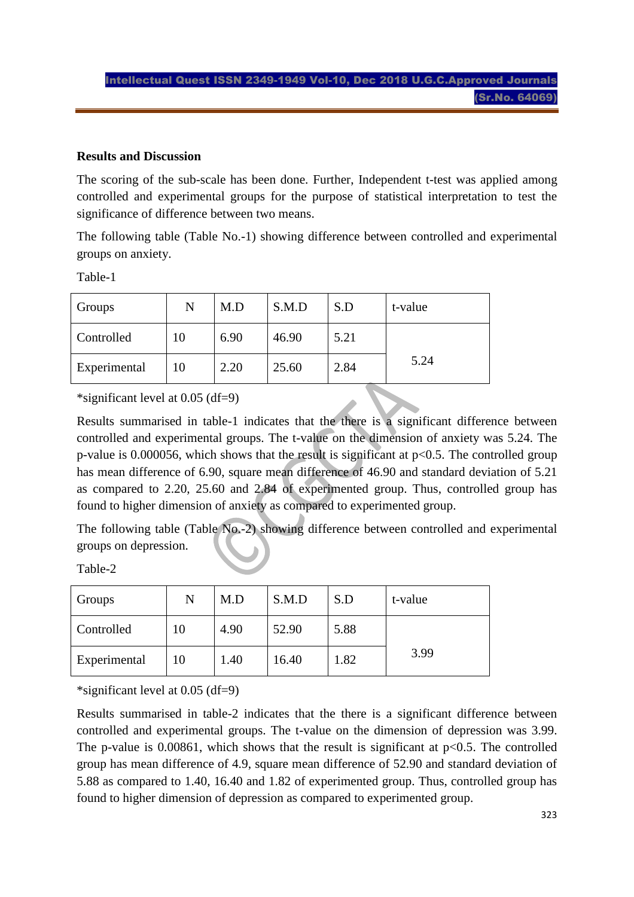#### **Results and Discussion**

The scoring of the sub-scale has been done. Further, Independent t-test was applied among controlled and experimental groups for the purpose of statistical interpretation to test the significance of difference between two means.

The following table (Table No.-1) showing difference between controlled and experimental groups on anxiety.

Table-1

| Groups       | N  | M.D  | S.M.D | S.D  | t-value |
|--------------|----|------|-------|------|---------|
| Controlled   | 10 | 6.90 | 46.90 | 5.21 |         |
| Experimental | 10 | 2.20 | 25.60 | 2.84 | 5.24    |

\*significant level at 0.05 (df=9)

Results summarised in table-1 indicates that the there is a significant difference between controlled and experimental groups. The t-value on the dimension of anxiety was 5.24. The p-value is  $0.000056$ , which shows that the result is significant at  $p<0.5$ . The controlled group has mean difference of 6.90, square mean difference of 46.90 and standard deviation of 5.21 as compared to 2.20, 25.60 and 2.84 of experimented group. Thus, controlled group has found to higher dimension of anxiety as compared to experimented group.

The following table (Table No.-2) showing difference between controlled and experimental groups on depression.

| <b>Groups</b>     | N  | M.D  | S.M.D | S.D  | t-value |
|-------------------|----|------|-------|------|---------|
| <b>Controlled</b> | 10 | 4.90 | 52.90 | 5.88 |         |
| Experimental      | 10 | 1.40 | 16.40 | 1.82 | 3.99    |

Table-2

\*significant level at 0.05 (df=9)

Results summarised in table-2 indicates that the there is a significant difference between controlled and experimental groups. The t-value on the dimension of depression was 3.99. The p-value is  $0.00861$ , which shows that the result is significant at p $\leq 0.5$ . The controlled group has mean difference of 4.9, square mean difference of 52.90 and standard deviation of 5.88 as compared to 1.40, 16.40 and 1.82 of experimented group. Thus, controlled group has found to higher dimension of depression as compared to experimented group.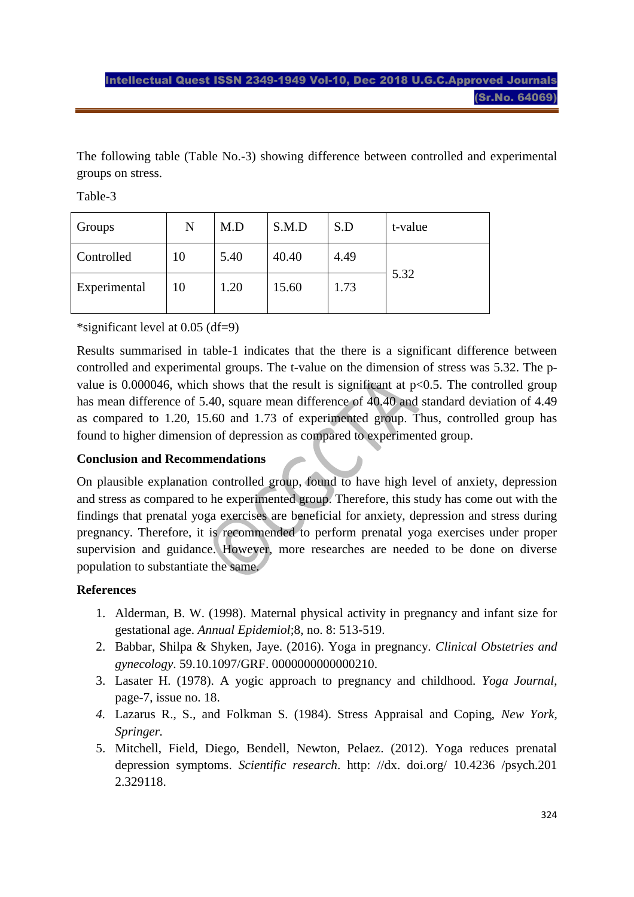The following table (Table No.-3) showing difference between controlled and experimental groups on stress.

Table-3

| Groups       | N  | M.D  | S.M.D | S.D  | t-value |
|--------------|----|------|-------|------|---------|
| Controlled   | 10 | 5.40 | 40.40 | 4.49 | 5.32    |
| Experimental | 10 | 1.20 | 15.60 | 1.73 |         |

\*significant level at 0.05 (df=9)

Results summarised in table-1 indicates that the there is a significant difference between controlled and experimental groups. The t-value on the dimension of stress was 5.32. The pvalue is 0.000046, which shows that the result is significant at  $p<0.5$ . The controlled group has mean difference of 5.40, square mean difference of 40.40 and standard deviation of 4.49 as compared to 1.20, 15.60 and 1.73 of experimented group. Thus, controlled group has found to higher dimension of depression as compared to experimented group.

#### **Conclusion and Recommendations**

On plausible explanation controlled group, found to have high level of anxiety, depression and stress as compared to he experimented group. Therefore, this study has come out with the findings that prenatal yoga exercises are beneficial for anxiety, depression and stress during pregnancy. Therefore, it is recommended to perform prenatal yoga exercises under proper supervision and guidance. However, more researches are needed to be done on diverse population to substantiate the same.

### **References**

- 1. Alderman, B. W. (1998). Maternal physical activity in pregnancy and infant size for gestational age. *Annual Epidemiol*;8, no. 8: 513-519.
- 2. Babbar, Shilpa & Shyken, Jaye. (2016). Yoga in pregnancy. *Clinical Obstetries and gynecology*. 59.10.1097/GRF. 0000000000000210.
- 3. Lasater H. (1978). A yogic approach to pregnancy and childhood*. Yoga Journal*, page-7, issue no. 18.
- *4.* Lazarus R., S., and Folkman S. (1984). Stress Appraisal and Coping, *New York, Springer.*
- 5. Mitchell, Field, Diego, Bendell, Newton, Pelaez. (2012). Yoga reduces prenatal depression symptoms. *Scientific research*. http: //dx. doi.org/ 10.4236 /psych.201 2.329118.